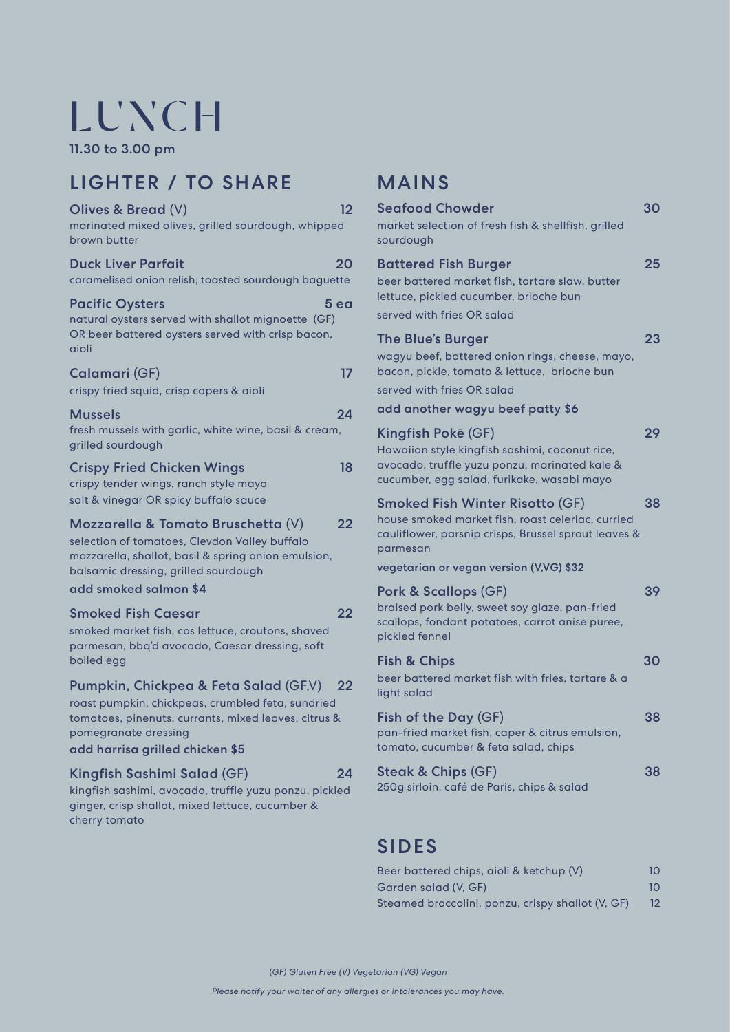# **LUNCH**

11.30 to 3.00 pm

## LIGHTER / TO SHARE

| Olives & Bread (V)<br>marinated mixed olives, grilled sourdough, whipped<br>brown butter                                                                                                                      | 12              |
|---------------------------------------------------------------------------------------------------------------------------------------------------------------------------------------------------------------|-----------------|
| <b>Duck Liver Parfait</b><br>caramelised onion relish, toasted sourdough baguette                                                                                                                             | 20              |
| <b>Pacific Oysters</b><br>natural oysters served with shallot mignoette (GF)<br>OR beer battered oysters served with crisp bacon,<br>aioli                                                                    | 5 <sub>ea</sub> |
| <b>Calamari (GF)</b><br>crispy fried squid, crisp capers & aioli                                                                                                                                              | 17              |
| Mussels<br>fresh mussels with garlic, white wine, basil & cream,<br>grilled sourdough                                                                                                                         | 24              |
| <b>Crispy Fried Chicken Wings</b><br>crispy tender wings, ranch style mayo<br>salt & vinegar OR spicy buffalo sauce                                                                                           | 18              |
| Mozzarella & Tomato Bruschetta (V)<br>selection of tomatoes, Clevdon Valley buffalo<br>mozzarella, shallot, basil & spring onion emulsion,<br>balsamic dressing, grilled sourdough<br>add smoked salmon \$4   | 22              |
| Smoked Fish Caesar<br>smoked market fish, cos lettuce, croutons, shaved<br>parmesan, bbq'd avocado, Caesar dressing, soft<br>boiled egg                                                                       | 22              |
| Pumpkin, Chickpea & Feta Salad (GF,V)<br>roast pumpkin, chickpeas, crumbled feta, sundried<br>tomatoes, pinenuts, currants, mixed leaves, citrus &<br>pomegranate dressing<br>add harrisa grilled chicken \$5 | 22              |
| Kingfish Sashimi Salad (GF)                                                                                                                                                                                   | 24              |

#### kingfish sashimi, avocado, truffle yuzu ponzu, pickled ginger, crisp shallot, mixed lettuce, cucumber & cherry tomato

## MAINS

| <b>Seafood Chowder</b><br>market selection of fresh fish & shellfish, grilled<br>sourdough                                                                                                                 | 30 |
|------------------------------------------------------------------------------------------------------------------------------------------------------------------------------------------------------------|----|
| <b>Battered Fish Burger</b><br>beer battered market fish, tartare slaw, butter<br>lettuce, pickled cucumber, brioche bun<br>served with fries OR salad                                                     | 25 |
| <b>The Blue's Burger</b><br>wagyu beef, battered onion rings, cheese, mayo,<br>bacon, pickle, tomato & lettuce, brioche bun<br>served with fries OR salad                                                  | 23 |
| add another wagyu beef patty \$6                                                                                                                                                                           |    |
| Kingfish Pokē (GF)<br>Hawaiian style kingfish sashimi, coconut rice,<br>avocado, truffle yuzu ponzu, marinated kale &<br>cucumber, egg salad, furikake, wasabi mayo                                        | 29 |
| <b>Smoked Fish Winter Risotto (GF)</b><br>house smoked market fish, roast celeriac, curried<br>cauliflower, parsnip crisps, Brussel sprout leaves &<br>parmesan<br>vegetarian or vegan version (V,VG) \$32 | 38 |
| Pork & Scallops (GF)<br>braised pork belly, sweet soy glaze, pan-fried<br>scallops, fondant potatoes, carrot anise puree,<br>pickled fennel                                                                | 39 |
| <b>Fish &amp; Chips</b><br>beer battered market fish with fries, tartare & a<br>light salad                                                                                                                | 30 |
| Fish of the Day (GF)<br>pan-fried market fish, caper & citrus emulsion,<br>tomato, cucumber & feta salad, chips                                                                                            | 38 |
| <b>Steak &amp; Chips (GF)</b><br>250g sirloin, café de Paris, chips & salad                                                                                                                                | 38 |
|                                                                                                                                                                                                            |    |

## SIDES

| Beer battered chips, aioli & ketchup (V)          | 10.               |
|---------------------------------------------------|-------------------|
| Garden salad (V. GF)                              | 10.               |
| Steamed broccolini, ponzu, crispy shallot (V, GF) | $12 \overline{ }$ |

(*GF) Gluten Free (V) Vegetarian (VG) Vegan*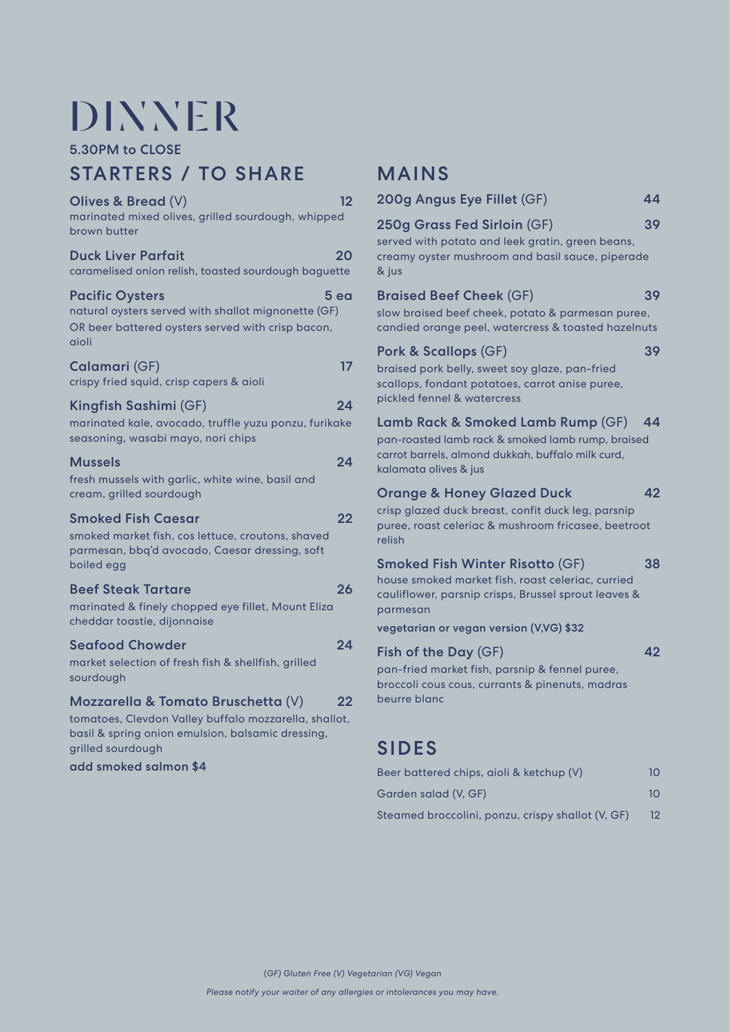## **DINNER**

5.30PM to CLOSE

## STARTERS / TO SHARE

| Olives & Bread (V)<br>marinated mixed olives, grilled sourdough, whipped<br>brown butter                                                                                                       | 12 |
|------------------------------------------------------------------------------------------------------------------------------------------------------------------------------------------------|----|
| <b>Duck Liver Parfait</b><br>caramelised onion relish, toasted sourdough baguette                                                                                                              | 20 |
| <b>Pacific Oysters</b><br>5 ea<br>natural oysters served with shallot mignonette (GF)<br>OR beer battered oysters served with crisp bacon,<br>aioli                                            |    |
| Calamari (GF)<br>crispy fried squid, crisp capers & aioli                                                                                                                                      | 17 |
| Kingfish Sashimi (GF)<br>marinated kale, avocado, truffle yuzu ponzu, furikake<br>seasoning, wasabi mayo, nori chips                                                                           | 24 |
| <b>Mussels</b><br>fresh mussels with garlic, white wine, basil and<br>cream, grilled sourdough                                                                                                 | 24 |
| <b>Smoked Fish Caesar</b><br>smoked market fish, cos lettuce, croutons, shaved<br>parmesan, bbq'd avocado, Caesar dressing, soft<br>boiled egg                                                 | 22 |
| <b>Beef Steak Tartare</b><br>marinated & finely chopped eye fillet, Mount Eliza<br>cheddar toastie, dijonnaise                                                                                 | 26 |
| <b>Seafood Chowder</b><br>market selection of fresh fish & shellfish, grilled<br>sourdough                                                                                                     | 24 |
| Mozzarella & Tomato Bruschetta (V)<br>tomatoes, Clevdon Valley buffalo mozzarella, shallot,<br>basil & spring onion emulsion, balsamic dressing,<br>grilled sourdough<br>add smoked salmon \$4 | 22 |

### MAINS

| 200g Angus Eye Fillet (GF)                                                                                                                                                                                 | 44 |
|------------------------------------------------------------------------------------------------------------------------------------------------------------------------------------------------------------|----|
| 250g Grass Fed Sirloin (GF)<br>served with potato and leek gratin, green beans,<br>creamy oyster mushroom and basil sauce, piperade<br>& jus                                                               | 39 |
| <b>Braised Beef Cheek (GF)</b><br>slow braised beef cheek, potato & parmesan puree,<br>candied orange peel, watercress & toasted hazelnuts                                                                 | 39 |
| Pork & Scallops (GF)<br>braised pork belly, sweet soy glaze, pan-fried<br>scallops, fondant potatoes, carrot anise puree,<br>pickled fennel & watercress                                                   | 39 |
| Lamb Rack & Smoked Lamb Rump (GF)<br>pan-roasted lamb rack & smoked lamb rump, braised<br>carrot barrels, almond dukkah, buffalo milk curd,<br>kalamata olives & jus                                       | 44 |
| <b>Orange &amp; Honey Glazed Duck</b><br>crisp glazed duck breast, confit duck leg, parsnip<br>puree, roast celeriac & mushroom fricasee, beetroot<br>relish                                               | 42 |
| <b>Smoked Fish Winter Risotto (GF)</b><br>house smoked market fish, roast celeriac, curried<br>cauliflower, parsnip crisps, Brussel sprout leaves &<br>parmesan<br>vegetarian or vegan version (V,VG) \$32 | 38 |
| Fish of the Day (GF)<br>pan-fried market fish, parsnip & fennel puree,<br>broccoli cous cous, currants & pinenuts, madras<br>beurre blanc                                                                  | 42 |

## SIDES

| Beer battered chips, aioli & ketchup (V)          | 10. |  |
|---------------------------------------------------|-----|--|
| Garden salad (V. GF)                              | 10  |  |
| Steamed broccolini, ponzu, crispy shallot (V, GF) | 12  |  |

(*GF) Gluten Free (V) Vegetarian (VG) Vegan*